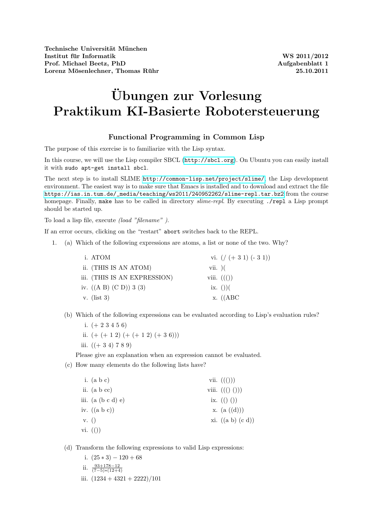## Übungen zur Vorlesung Praktikum KI-Basierte Robotersteuerung

## Functional Programming in Common Lisp

The purpose of this exercise is to familiarize with the Lisp syntax.

In this course, we will use the Lisp compiler SBCL (<http://sbcl.org>). On Ubuntu you can easily install it with sudo apt-get install sbcl.

The next step is to install SLIME <http://common-lisp.net/project/slime/>, the Lisp development environment. The easiest way is to make sure that Emacs is installed and to download and extract the file [https://ias.in.tum.de/\\_media/teaching/ws2011/240952262/slime-repl.tar.bz2](https://ias.in.tum.de/_media/teaching/ws2011/240952262/slime-repl.tar.bz2) from the course homepage. Finally, make has to be called in directory slime-repl. By executing ./repl a Lisp prompt should be started up.

To load a lisp file, execute (load "filename" ).

If an error occurs, clicking on the "restart" abort switches back to the REPL.

1. (a) Which of the following expressions are atoms, a list or none of the two. Why?

| i. ATOM                       | vi. $\left(\frac{1}{6} + 31\right) (-31)$ |
|-------------------------------|-------------------------------------------|
| ii. (THIS IS AN ATOM)         | $vii.$ )(                                 |
| iii. (THIS IS AN EXPRESSION)  | viii. $((())$                             |
| iv. $((A \ B) (C \ D)) 3 (3)$ | $\{ix. \}$ ())(                           |
| v. $(list 3)$                 | $x.$ ((ABC)                               |

- (b) Which of the following expressions can be evaluated according to Lisp's evaluation rules?
	- i.  $(+ 2 3 4 5 6)$
	- ii.  $(+ ( + 1 2) (+ (+ 1 2) (+ 3 6)))$
	- iii.  $((+34) 789)$

Please give an explanation when an expression cannot be evaluated.

(c) How many elements do the following lists have?

|      | i. $(a b c)$         | vii. $((())$                                     |
|------|----------------------|--------------------------------------------------|
|      | ii. $(a b cc)$       | viii. $((\begin{pmatrix} 0 \\ 0 \end{pmatrix}))$ |
|      | iii. $(a (b c d) e)$ | ix. $(( ) )$                                     |
|      | iv. $((a b c))$      | x. $(a((d)))$                                    |
| V.() |                      | xi. $((a b) (c d))$                              |
|      | vi. $($ ) $)$        |                                                  |
|      |                      |                                                  |

(d) Transform the following expressions to valid Lisp expressions:

- i.  $(25 * 3) 120 + 68$
- ii.  $\frac{93+178-12}{(7-5)*(12+4)}$
- iii.  $(1234 + 4321 + 2222)/101$